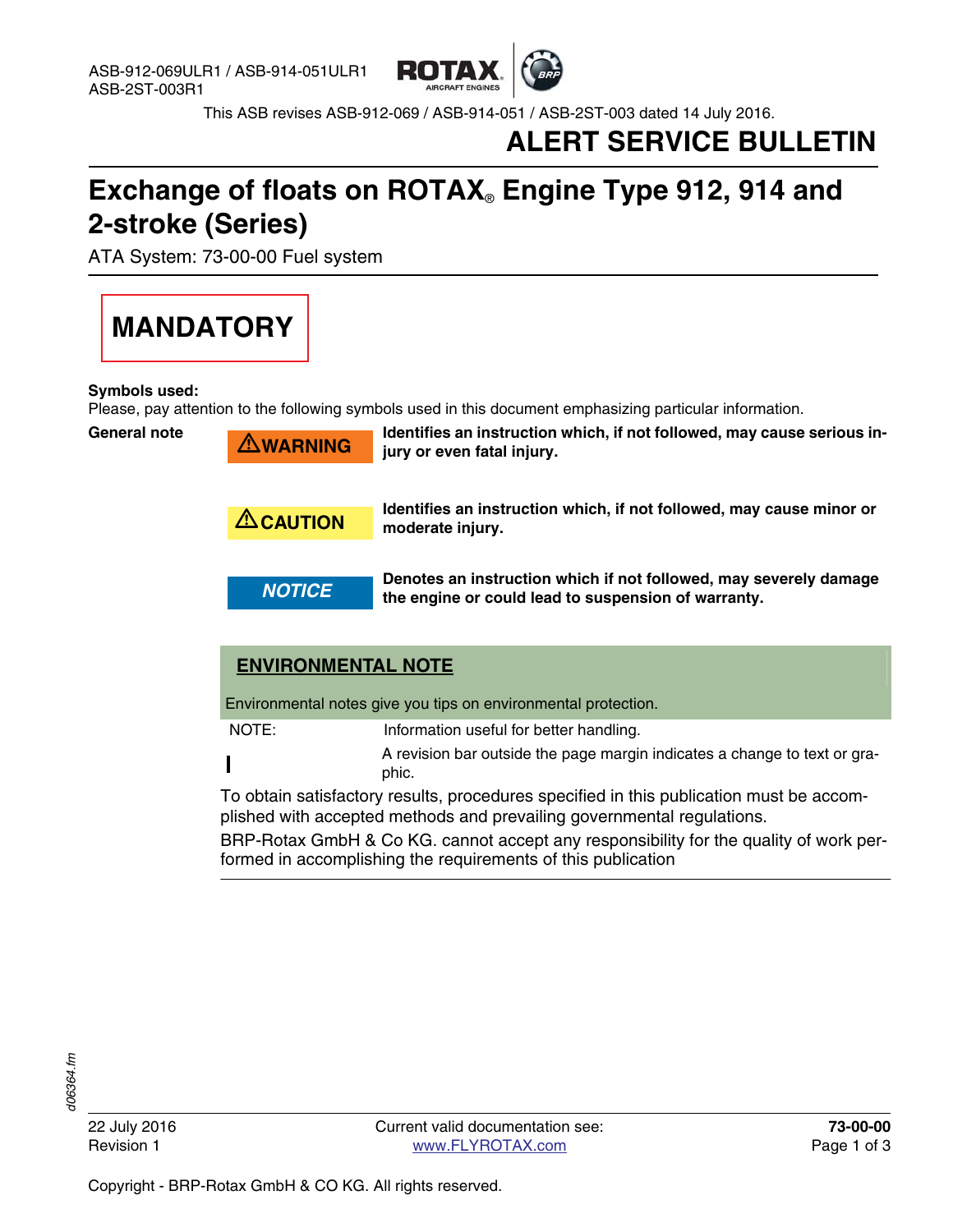

This ASB revises ASB-912-069 / ASB-914-051 / ASB-2ST-003 dated 14 July 2016.

### **ALERT SERVICE BULLETIN**

## **Exchange of floats on ROTAX**® **Engine Type 912, 914 and 2-stroke (Series)**

ATA System: 73-00-00 Fuel system



#### **Symbols used:**

Please, pay attention to the following symbols used in this document emphasizing particular information.

**General note**

 $\bigtriangleup$ WARNING

Identifies an instruction which, if not followed, may cause serious in**jury or even fatal injury.**

**CAUTION** Identifies an instruction which, if not followed, may cause minor or<br>**CAUTION** moderate injury **moderate injury.**

**NOTICE Denotes an instruction which if not followed, may severely damage**<br>NOTICE **by the engine or sould lead to overancian of warranty the engine or could lead to suspension of warranty.**

### **ENVIRONMENTAL NOTE**

Environmental notes give you tips on environmental protection.

NOTE: Information useful for better handling.

A revision bar outside the page margin indicates a change to text or graphic.

To obtain satisfactory results, procedures specified in this publication must be accomplished with accepted methods and prevailing governmental regulations.

BRP-Rotax GmbH & Co KG. cannot accept any responsibility for the quality of work performed in accomplishing the requirements of this publication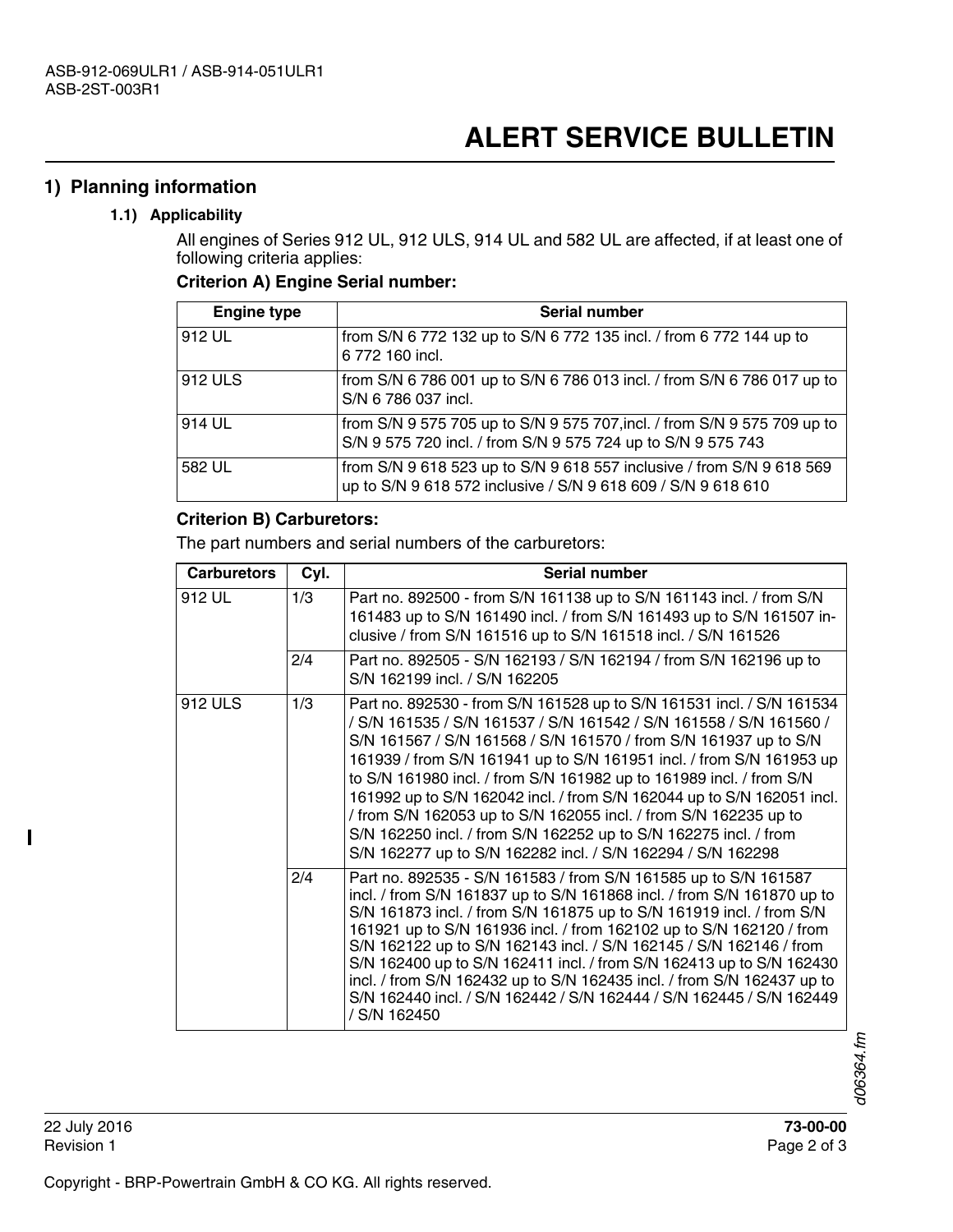#### **1) Planning information**

#### **1.1) Applicability**

All engines of Series 912 UL, 912 ULS, 914 UL and 582 UL are affected, if at least one of following criteria applies:

#### **Criterion A) Engine Serial number:**

| <b>Engine type</b> | Serial number                                                                                                                            |
|--------------------|------------------------------------------------------------------------------------------------------------------------------------------|
| 912 UL             | from S/N 6 772 132 up to S/N 6 772 135 incl. / from 6 772 144 up to<br>6 772 160 incl.                                                   |
| 912 ULS            | from S/N 6 786 001 up to S/N 6 786 013 incl. / from S/N 6 786 017 up to<br>S/N 6 786 037 incl.                                           |
| 914 UL             | from S/N 9 575 705 up to S/N 9 575 707, incl. / from S/N 9 575 709 up to<br>S/N 9 575 720 incl. / from S/N 9 575 724 up to S/N 9 575 743 |
| 582 UL             | from S/N 9 618 523 up to S/N 9 618 557 inclusive / from S/N 9 618 569<br>up to S/N 9 618 572 inclusive / S/N 9 618 609 / S/N 9 618 610   |

#### **Criterion B) Carburetors:**

The part numbers and serial numbers of the carburetors:

| <b>Carburetors</b> | Cyl. | Serial number                                                                                                                                                                                                                                                                                                                                                                                                                                                                                                                                                                                                                                   |
|--------------------|------|-------------------------------------------------------------------------------------------------------------------------------------------------------------------------------------------------------------------------------------------------------------------------------------------------------------------------------------------------------------------------------------------------------------------------------------------------------------------------------------------------------------------------------------------------------------------------------------------------------------------------------------------------|
| 912 UL             | 1/3  | Part no. 892500 - from S/N 161138 up to S/N 161143 incl. / from S/N<br>161483 up to S/N 161490 incl. / from S/N 161493 up to S/N 161507 in-<br>clusive / from S/N 161516 up to S/N 161518 incl. / S/N 161526                                                                                                                                                                                                                                                                                                                                                                                                                                    |
|                    | 2/4  | Part no. 892505 - S/N 162193 / S/N 162194 / from S/N 162196 up to<br>S/N 162199 incl. / S/N 162205                                                                                                                                                                                                                                                                                                                                                                                                                                                                                                                                              |
| 912 ULS            | 1/3  | Part no. 892530 - from S/N 161528 up to S/N 161531 incl. / S/N 161534<br>/ S/N 161535 / S/N 161537 / S/N 161542 / S/N 161558 / S/N 161560 /<br>S/N 161567 / S/N 161568 / S/N 161570 / from S/N 161937 up to S/N<br>161939 / from S/N 161941 up to S/N 161951 incl. / from S/N 161953 up<br>to S/N 161980 incl. / from S/N 161982 up to 161989 incl. / from S/N<br>161992 up to S/N 162042 incl. / from S/N 162044 up to S/N 162051 incl.<br>/ from S/N 162053 up to S/N 162055 incl. / from S/N 162235 up to<br>S/N 162250 incl. / from S/N 162252 up to S/N 162275 incl. / from<br>S/N 162277 up to S/N 162282 incl. / S/N 162294 / S/N 162298 |
|                    | 2/4  | Part no. 892535 - S/N 161583 / from S/N 161585 up to S/N 161587<br>incl. / from S/N 161837 up to S/N 161868 incl. / from S/N 161870 up to<br>S/N 161873 incl. / from S/N 161875 up to S/N 161919 incl. / from S/N<br>161921 up to S/N 161936 incl. / from 162102 up to S/N 162120 / from<br>S/N 162122 up to S/N 162143 incl. / S/N 162145 / S/N 162146 / from<br>S/N 162400 up to S/N 162411 incl. / from S/N 162413 up to S/N 162430<br>incl. / from S/N 162432 up to S/N 162435 incl. / from S/N 162437 up to<br>S/N 162440 incl. / S/N 162442 / S/N 162444 / S/N 162445 / S/N 162449<br>/ S/N 162450                                        |

I